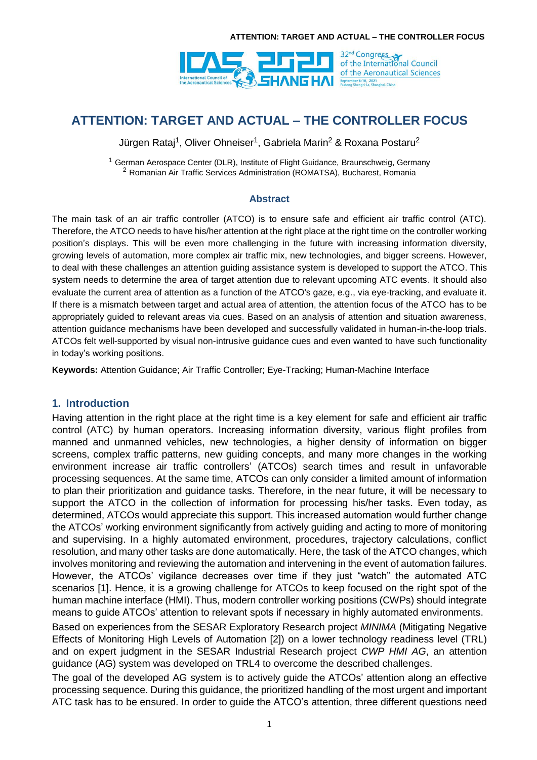

Jürgen Rataj<sup>1</sup>, Oliver Ohneiser<sup>1</sup>, Gabriela Marin<sup>2</sup> & Roxana Postaru<sup>2</sup>

<sup>1</sup> German Aerospace Center (DLR), Institute of Flight Guidance, Braunschweig, Germany <sup>2</sup> Romanian Air Traffic Services Administration (ROMATSA), Bucharest, Romania

### **Abstract**

The main task of an air traffic controller (ATCO) is to ensure safe and efficient air traffic control (ATC). Therefore, the ATCO needs to have his/her attention at the right place at the right time on the controller working position's displays. This will be even more challenging in the future with increasing information diversity, growing levels of automation, more complex air traffic mix, new technologies, and bigger screens. However, to deal with these challenges an attention guiding assistance system is developed to support the ATCO. This system needs to determine the area of target attention due to relevant upcoming ATC events. It should also evaluate the current area of attention as a function of the ATCO's gaze, e.g., via eye-tracking, and evaluate it. If there is a mismatch between target and actual area of attention, the attention focus of the ATCO has to be appropriately guided to relevant areas via cues. Based on an analysis of attention and situation awareness, attention guidance mechanisms have been developed and successfully validated in human-in-the-loop trials. ATCOs felt well-supported by visual non-intrusive guidance cues and even wanted to have such functionality in today's working positions.

**Keywords:** Attention Guidance; Air Traffic Controller; Eye-Tracking; Human-Machine Interface

### **1. Introduction**

Having attention in the right place at the right time is a key element for safe and efficient air traffic control (ATC) by human operators. Increasing information diversity, various flight profiles from manned and unmanned vehicles, new technologies, a higher density of information on bigger screens, complex traffic patterns, new guiding concepts, and many more changes in the working environment increase air traffic controllers' (ATCOs) search times and result in unfavorable processing sequences. At the same time, ATCOs can only consider a limited amount of information to plan their prioritization and guidance tasks. Therefore, in the near future, it will be necessary to support the ATCO in the collection of information for processing his/her tasks. Even today, as determined, ATCOs would appreciate this support. This increased automation would further change the ATCOs' working environment significantly from actively guiding and acting to more of monitoring and supervising. In a highly automated environment, procedures, trajectory calculations, conflict resolution, and many other tasks are done automatically. Here, the task of the ATCO changes, which involves monitoring and reviewing the automation and intervening in the event of automation failures. However, the ATCOs' vigilance decreases over time if they just "watch" the automated ATC scenarios [\[1\].](#page-14-0) Hence, it is a growing challenge for ATCOs to keep focused on the right spot of the human machine interface (HMI). Thus, modern controller working positions (CWPs) should integrate means to guide ATCOs' attention to relevant spots if necessary in highly automated environments.

Based on experiences from the SESAR Exploratory Research project *MINIMA* (Mitigating Negative Effects of Monitoring High Levels of Automation [\[2\]\)](#page-14-1) on a lower technology readiness level (TRL) and on expert judgment in the SESAR Industrial Research project *CWP HMI AG*, an attention guidance (AG) system was developed on TRL4 to overcome the described challenges.

The goal of the developed AG system is to actively guide the ATCOs' attention along an effective processing sequence. During this guidance, the prioritized handling of the most urgent and important ATC task has to be ensured. In order to guide the ATCO's attention, three different questions need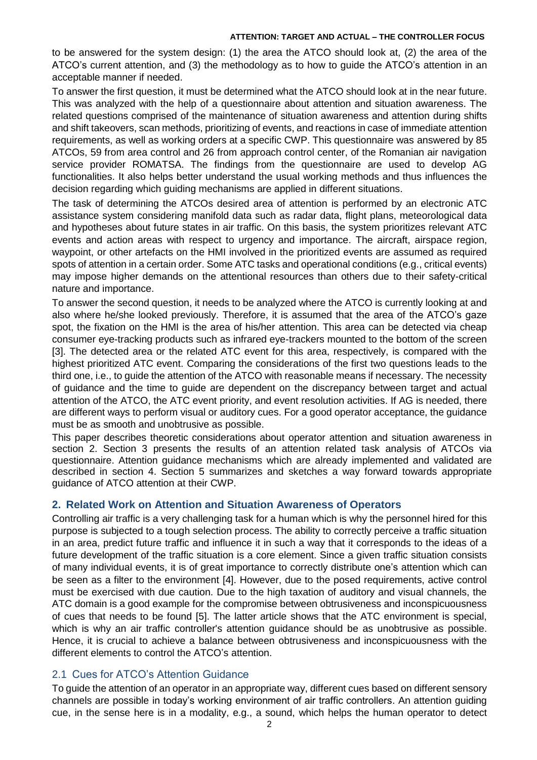to be answered for the system design: (1) the area the ATCO should look at, (2) the area of the ATCO's current attention, and (3) the methodology as to how to guide the ATCO's attention in an acceptable manner if needed.

To answer the first question, it must be determined what the ATCO should look at in the near future. This was analyzed with the help of a questionnaire about attention and situation awareness. The related questions comprised of the maintenance of situation awareness and attention during shifts and shift takeovers, scan methods, prioritizing of events, and reactions in case of immediate attention requirements, as well as working orders at a specific CWP. This questionnaire was answered by 85 ATCOs, 59 from area control and 26 from approach control center, of the Romanian air navigation service provider ROMATSA. The findings from the questionnaire are used to develop AG functionalities. It also helps better understand the usual working methods and thus influences the decision regarding which guiding mechanisms are applied in different situations.

The task of determining the ATCOs desired area of attention is performed by an electronic ATC assistance system considering manifold data such as radar data, flight plans, meteorological data and hypotheses about future states in air traffic. On this basis, the system prioritizes relevant ATC events and action areas with respect to urgency and importance. The aircraft, airspace region, waypoint, or other artefacts on the HMI involved in the prioritized events are assumed as required spots of attention in a certain order. Some ATC tasks and operational conditions (e.g., critical events) may impose higher demands on the attentional resources than others due to their safety-critical nature and importance.

To answer the second question, it needs to be analyzed where the ATCO is currently looking at and also where he/she looked previously. Therefore, it is assumed that the area of the ATCO's gaze spot, the fixation on the HMI is the area of his/her attention. This area can be detected via cheap consumer eye-tracking products such as infrared eye-trackers mounted to the bottom of the screen [\[3\].](#page-14-2) The detected area or the related ATC event for this area, respectively, is compared with the highest prioritized ATC event. Comparing the considerations of the first two questions leads to the third one, i.e., to guide the attention of the ATCO with reasonable means if necessary. The necessity of guidance and the time to guide are dependent on the discrepancy between target and actual attention of the ATCO, the ATC event priority, and event resolution activities. If AG is needed, there are different ways to perform visual or auditory cues. For a good operator acceptance, the guidance must be as smooth and unobtrusive as possible.

This paper describes theoretic considerations about operator attention and situation awareness in section [2.](#page-1-0) Section [3](#page-3-0) presents the results of an attention related task analysis of ATCOs via questionnaire. Attention guidance mechanisms which are already implemented and validated are described in section [4.](#page-12-0) Section [5](#page-13-0) summarizes and sketches a way forward towards appropriate guidance of ATCO attention at their CWP.

### <span id="page-1-0"></span>**2. Related Work on Attention and Situation Awareness of Operators**

Controlling air traffic is a very challenging task for a human which is why the personnel hired for this purpose is subjected to a tough selection process. The ability to correctly perceive a traffic situation in an area, predict future traffic and influence it in such a way that it corresponds to the ideas of a future development of the traffic situation is a core element. Since a given traffic situation consists of many individual events, it is of great importance to correctly distribute one's attention which can be seen as a filter to the environment [\[4\].](#page-14-3) However, due to the posed requirements, active control must be exercised with due caution. Due to the high taxation of auditory and visual channels, the ATC domain is a good example for the compromise between obtrusiveness and inconspicuousness of cues that needs to be found [\[5\].](#page-14-4) The latter article shows that the ATC environment is special, which is why an air traffic controller's attention guidance should be as unobtrusive as possible. Hence, it is crucial to achieve a balance between obtrusiveness and inconspicuousness with the different elements to control the ATCO's attention.

### 2.1 Cues for ATCO's Attention Guidance

To guide the attention of an operator in an appropriate way, different cues based on different sensory channels are possible in today's working environment of air traffic controllers. An attention guiding cue, in the sense here is in a modality, e.g., a sound, which helps the human operator to detect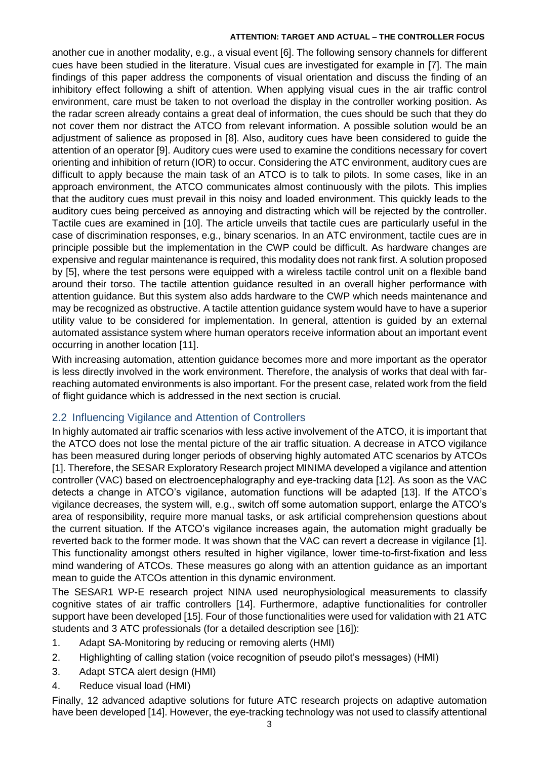another cue in another modality, e.g., a visual event [\[6\].](#page-14-5) The following sensory channels for different cues have been studied in the literature. Visual cues are investigated for example in [\[7\].](#page-14-6) The main findings of this paper address the components of visual orientation and discuss the finding of an inhibitory effect following a shift of attention. When applying visual cues in the air traffic control environment, care must be taken to not overload the display in the controller working position. As the radar screen already contains a great deal of information, the cues should be such that they do not cover them nor distract the ATCO from relevant information. A possible solution would be an adjustment of salience as proposed in [\[8\]](#page-14-7). Also, auditory cues have been considered to guide the attention of an operator [\[9\].](#page-14-8) Auditory cues were used to examine the conditions necessary for covert orienting and inhibition of return (IOR) to occur. Considering the ATC environment, auditory cues are difficult to apply because the main task of an ATCO is to talk to pilots. In some cases, like in an approach environment, the ATCO communicates almost continuously with the pilots. This implies that the auditory cues must prevail in this noisy and loaded environment. This quickly leads to the auditory cues being perceived as annoying and distracting which will be rejected by the controller. Tactile cues are examined in [\[10\].](#page-14-9) The article unveils that tactile cues are particularly useful in the case of discrimination responses, e.g., binary scenarios. In an ATC environment, tactile cues are in principle possible but the implementation in the CWP could be difficult. As hardware changes are expensive and regular maintenance is required, this modality does not rank first. A solution proposed by [\[5\]](#page-14-4), where the test persons were equipped with a wireless tactile control unit on a flexible band around their torso. The tactile attention guidance resulted in an overall higher performance with attention guidance. But this system also adds hardware to the CWP which needs maintenance and may be recognized as obstructive. A tactile attention guidance system would have to have a superior utility value to be considered for implementation. In general, attention is guided by an external automated assistance system where human operators receive information about an important event occurring in another location [\[11\].](#page-14-10)

With increasing automation, attention guidance becomes more and more important as the operator is less directly involved in the work environment. Therefore, the analysis of works that deal with farreaching automated environments is also important. For the present case, related work from the field of flight guidance which is addressed in the next section is crucial.

## 2.2 Influencing Vigilance and Attention of Controllers

In highly automated air traffic scenarios with less active involvement of the ATCO, it is important that the ATCO does not lose the mental picture of the air traffic situation. A decrease in ATCO vigilance has been measured during longer periods of observing highly automated ATC scenarios by ATCOs [\[1\].](#page-14-0) Therefore, the SESAR Exploratory Research project MINIMA developed a vigilance and attention controller (VAC) based on electroencephalography and eye-tracking data [\[12\].](#page-14-11) As soon as the VAC detects a change in ATCO's vigilance, automation functions will be adapted [\[13\].](#page-14-12) If the ATCO's vigilance decreases, the system will, e.g., switch off some automation support, enlarge the ATCO's area of responsibility, require more manual tasks, or ask artificial comprehension questions about the current situation. If the ATCO's vigilance increases again, the automation might gradually be reverted back to the former mode. It was shown that the VAC can revert a decrease in vigilance [\[1\].](#page-14-0) This functionality amongst others resulted in higher vigilance, lower time-to-first-fixation and less mind wandering of ATCOs. These measures go along with an attention guidance as an important mean to guide the ATCOs attention in this dynamic environment.

The SESAR1 WP-E research project NINA used neurophysiological measurements to classify cognitive states of air traffic controllers [\[14\].](#page-14-13) Furthermore, adaptive functionalities for controller support have been developed [\[15\].](#page-14-14) Four of those functionalities were used for validation with 21 ATC students and 3 ATC professionals (for a detailed description see [\[16\]\)](#page-14-15):

- 1. Adapt SA-Monitoring by reducing or removing alerts (HMI)
- 2. Highlighting of calling station (voice recognition of pseudo pilot's messages) (HMI)
- 3. Adapt STCA alert design (HMI)
- 4. Reduce visual load (HMI)

Finally, 12 advanced adaptive solutions for future ATC research projects on adaptive automation have been developed [\[14\].](#page-14-13) However, the eye-tracking technology was not used to classify attentional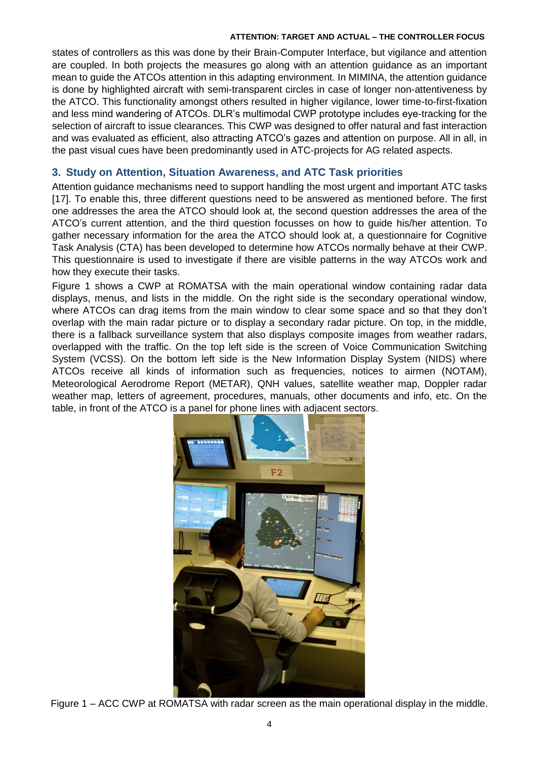states of controllers as this was done by their Brain-Computer Interface, but vigilance and attention are coupled. In both projects the measures go along with an attention guidance as an important mean to guide the ATCOs attention in this adapting environment. In MIMINA, the attention guidance is done by highlighted aircraft with semi-transparent circles in case of longer non-attentiveness by the ATCO. This functionality amongst others resulted in higher vigilance, lower time-to-first-fixation and less mind wandering of ATCOs. DLR's multimodal CWP prototype includes eye-tracking for the selection of aircraft to issue clearances. This CWP was designed to offer natural and fast interaction and was evaluated as efficient, also attracting ATCO's gazes and attention on purpose. All in all, in the past visual cues have been predominantly used in ATC-projects for AG related aspects.

## <span id="page-3-0"></span>**3. Study on Attention, Situation Awareness, and ATC Task priorities**

Attention guidance mechanisms need to support handling the most urgent and important ATC tasks [\[17\].](#page-14-16) To enable this, three different questions need to be answered as mentioned before. The first one addresses the area the ATCO should look at, the second question addresses the area of the ATCO's current attention, and the third question focusses on how to guide his/her attention. To gather necessary information for the area the ATCO should look at, a questionnaire for Cognitive Task Analysis (CTA) has been developed to determine how ATCOs normally behave at their CWP. This questionnaire is used to investigate if there are visible patterns in the way ATCOs work and how they execute their tasks.

[Figure 1](#page-3-1) shows a CWP at ROMATSA with the main operational window containing radar data displays, menus, and lists in the middle. On the right side is the secondary operational window, where ATCOs can drag items from the main window to clear some space and so that they don't overlap with the main radar picture or to display a secondary radar picture. On top, in the middle, there is a fallback surveillance system that also displays composite images from weather radars, overlapped with the traffic. On the top left side is the screen of Voice Communication Switching System (VCSS). On the bottom left side is the New Information Display System (NIDS) where ATCOs receive all kinds of information such as frequencies, notices to airmen (NOTAM), Meteorological Aerodrome Report (METAR), QNH values, satellite weather map, Doppler radar weather map, letters of agreement, procedures, manuals, other documents and info, etc. On the table, in front of the ATCO is a panel for phone lines with adjacent sectors.



<span id="page-3-1"></span>Figure 1 – ACC CWP at ROMATSA with radar screen as the main operational display in the middle.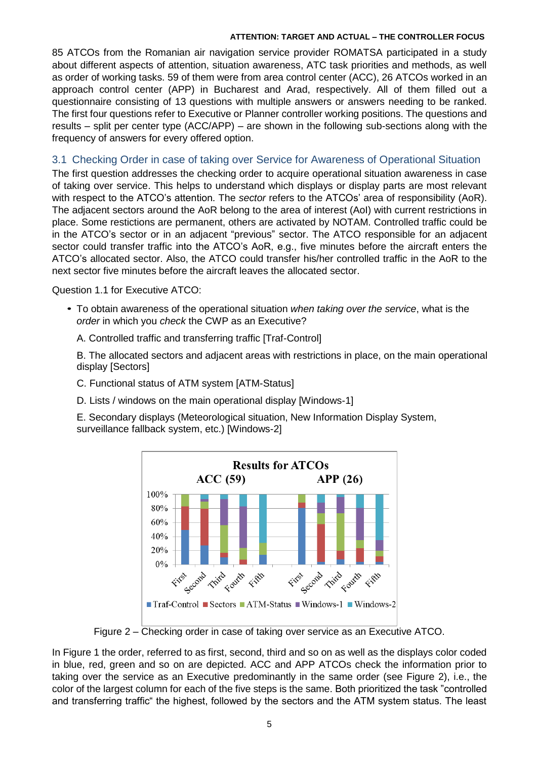85 ATCOs from the Romanian air navigation service provider ROMATSA participated in a study about different aspects of attention, situation awareness, ATC task priorities and methods, as well as order of working tasks. 59 of them were from area control center (ACC), 26 ATCOs worked in an approach control center (APP) in Bucharest and Arad, respectively. All of them filled out a questionnaire consisting of 13 questions with multiple answers or answers needing to be ranked. The first four questions refer to Executive or Planner controller working positions. The questions and results – split per center type (ACC/APP) – are shown in the following sub-sections along with the frequency of answers for every offered option.

## 3.1 Checking Order in case of taking over Service for Awareness of Operational Situation

The first question addresses the checking order to acquire operational situation awareness in case of taking over service. This helps to understand which displays or display parts are most relevant with respect to the ATCO's attention. The *sector* refers to the ATCOs' area of responsibility (AoR). The adjacent sectors around the AoR belong to the area of interest (AoI) with current restrictions in place. Some restictions are permanent, others are activated by NOTAM. Controlled traffic could be in the ATCO's sector or in an adjacent "previous" sector. The ATCO responsible for an adjacent sector could transfer traffic into the ATCO's AoR, e.g., five minutes before the aircraft enters the ATCO's allocated sector. Also, the ATCO could transfer his/her controlled traffic in the AoR to the next sector five minutes before the aircraft leaves the allocated sector.

Question 1.1 for Executive ATCO:

- To obtain awareness of the operational situation *when taking over the service*, what is the *•order* in which you *check* the CWP as an Executive?
	- A. Controlled traffic and transferring traffic [Traf-Control]

B. The allocated sectors and adjacent areas with restrictions in place, on the main operational display [Sectors]

- C. Functional status of ATM system [ATM-Status]
- D. Lists / windows on the main operational display [Windows-1]

E. Secondary displays (Meteorological situation, New Information Display System, surveillance fallback system, etc.) [Windows-2]



Figure 2 – Checking order in case of taking over service as an Executive ATCO.

<span id="page-4-0"></span>In Figure 1 the order, referred to as first, second, third and so on as well as the displays color coded in blue, red, green and so on are depicted. ACC and APP ATCOs check the information prior to taking over the service as an Executive predominantly in the same order (see [Figure 2\)](#page-4-0), i.e., the color of the largest column for each of the five steps is the same. Both prioritized the task "controlled and transferring traffic" the highest, followed by the sectors and the ATM system status. The least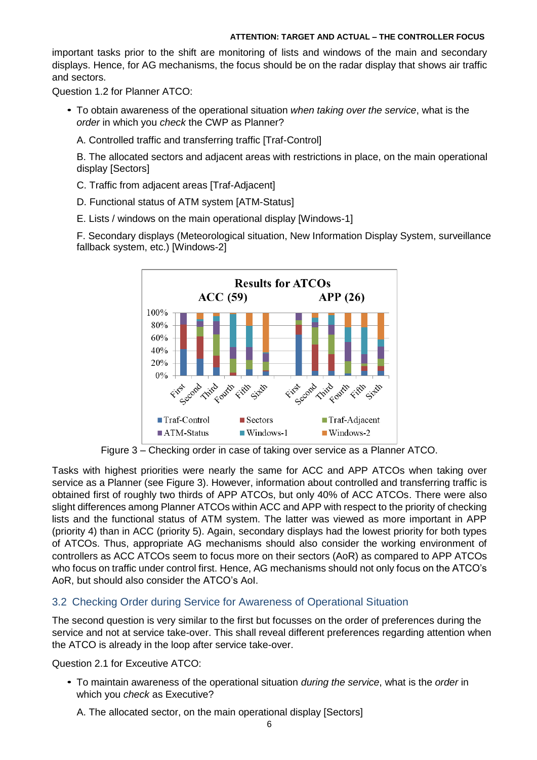important tasks prior to the shift are monitoring of lists and windows of the main and secondary displays. Hence, for AG mechanisms, the focus should be on the radar display that shows air traffic and sectors.

Question 1.2 for Planner ATCO:

- To obtain awareness of the operational situation *when taking over the service*, what is the *• order* in which you *check* the CWP as Planner?
	- A. Controlled traffic and transferring traffic [Traf-Control]

B. The allocated sectors and adjacent areas with restrictions in place, on the main operational display [Sectors]

- C. Traffic from adjacent areas [Traf-Adjacent]
- D. Functional status of ATM system [ATM-Status]
- E. Lists / windows on the main operational display [Windows-1]

F. Secondary displays (Meteorological situation, New Information Display System, surveillance fallback system, etc.) [Windows-2]



Figure 3 – Checking order in case of taking over service as a Planner ATCO.

<span id="page-5-0"></span>Tasks with highest priorities were nearly the same for ACC and APP ATCOs when taking over service as a Planner (see [Figure 3\)](#page-5-0). However, information about controlled and transferring traffic is obtained first of roughly two thirds of APP ATCOs, but only 40% of ACC ATCOs. There were also slight differences among Planner ATCOs within ACC and APP with respect to the priority of checking lists and the functional status of ATM system. The latter was viewed as more important in APP (priority 4) than in ACC (priority 5). Again, secondary displays had the lowest priority for both types of ATCOs. Thus, appropriate AG mechanisms should also consider the working environment of controllers as ACC ATCOs seem to focus more on their sectors (AoR) as compared to APP ATCOs who focus on traffic under control first. Hence, AG mechanisms should not only focus on the ATCO's AoR, but should also consider the ATCO's AoI.

### 3.2 Checking Order during Service for Awareness of Operational Situation

The second question is very similar to the first but focusses on the order of preferences during the service and not at service take-over. This shall reveal different preferences regarding attention when the ATCO is already in the loop after service take-over.

Question 2.1 for Exceutive ATCO:

- To maintain awareness of the operational situation *during the service*, what is the *order* in *•*which you *check* as Executive?
	- A. The allocated sector, on the main operational display [Sectors]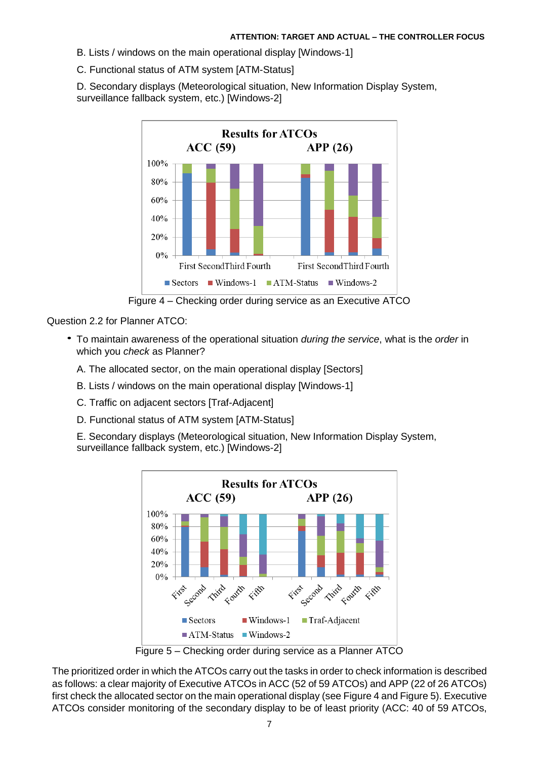B. Lists / windows on the main operational display [Windows-1]

C. Functional status of ATM system [ATM-Status]

D. Secondary displays (Meteorological situation, New Information Display System, surveillance fallback system, etc.) [Windows-2]



Figure 4 – Checking order during service as an Executive ATCO

<span id="page-6-0"></span>Question 2.2 for Planner ATCO:

- To maintain awareness of the operational situation *during the service*, what is the *order* in *•*which you *check* as Planner?
	- A. The allocated sector, on the main operational display [Sectors]
	- B. Lists / windows on the main operational display [Windows-1]
	- C. Traffic on adjacent sectors [Traf-Adjacent]
	- D. Functional status of ATM system [ATM-Status]

E. Secondary displays (Meteorological situation, New Information Display System, surveillance fallback system, etc.) [Windows-2]



Figure 5 – Checking order during service as a Planner ATCO

<span id="page-6-1"></span>The prioritized order in which the ATCOs carry out the tasks in order to check information is described as follows: a clear majority of Executive ATCOs in ACC (52 of 59 ATCOs) and APP (22 of 26 ATCOs) first check the allocated sector on the main operational display (see [Figure 4](#page-6-0) an[d Figure 5\)](#page-6-1). Executive ATCOs consider monitoring of the secondary display to be of least priority (ACC: 40 of 59 ATCOs,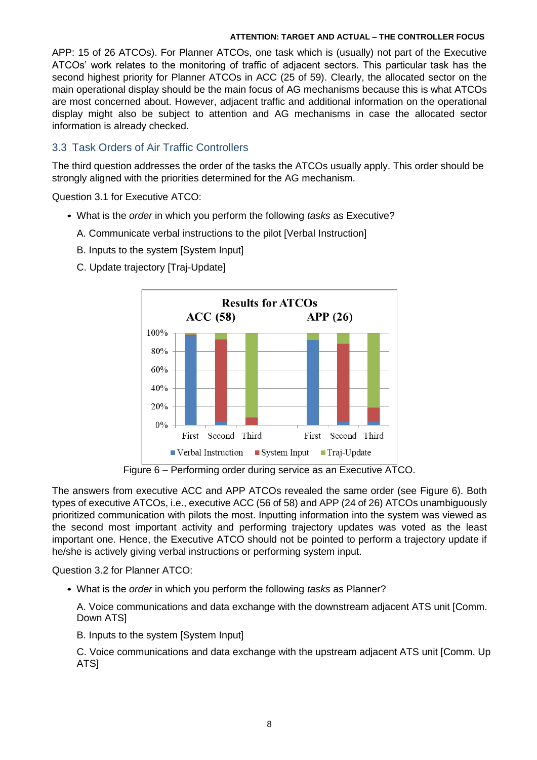APP: 15 of 26 ATCOs). For Planner ATCOs, one task which is (usually) not part of the Executive ATCOs' work relates to the monitoring of traffic of adjacent sectors. This particular task has the second highest priority for Planner ATCOs in ACC (25 of 59). Clearly, the allocated sector on the main operational display should be the main focus of AG mechanisms because this is what ATCOs are most concerned about. However, adjacent traffic and additional information on the operational display might also be subject to attention and AG mechanisms in case the allocated sector information is already checked.

## 3.3 Task Orders of Air Traffic Controllers

The third question addresses the order of the tasks the ATCOs usually apply. This order should be strongly aligned with the priorities determined for the AG mechanism.

Question 3.1 for Executive ATCO:

- What is the *order* in which you perform the following *tasks* as Executive? *•*
	- A. Communicate verbal instructions to the pilot [Verbal Instruction]
	- B. Inputs to the system [System Input]
		- **Results for ATCOs**  $ACC(58)$  $APP(26)$ 100% 80% 60% 40% 20%  $0%$ First Second Third First Second Third  $\blacksquare$  Verbal Instruction  $\blacksquare$  System Input  $\blacksquare$  Traj-Update
	- C. Update trajectory [Traj-Update]

Figure 6 – Performing order during service as an Executive ATCO.

<span id="page-7-0"></span>The answers from executive ACC and APP ATCOs revealed the same order (see [Figure 6\)](#page-7-0). Both types of executive ATCOs, i.e., executive ACC (56 of 58) and APP (24 of 26) ATCOs unambiguously prioritized communication with pilots the most. Inputting information into the system was viewed as the second most important activity and performing trajectory updates was voted as the least important one. Hence, the Executive ATCO should not be pointed to perform a trajectory update if he/she is actively giving verbal instructions or performing system input.

Question 3.2 for Planner ATCO:

What is the *order* in which you perform the following *tasks* as Planner? *•*

A. Voice communications and data exchange with the downstream adjacent ATS unit [Comm. Down ATS]

B. Inputs to the system [System Input]

C. Voice communications and data exchange with the upstream adjacent ATS unit [Comm. Up ATS]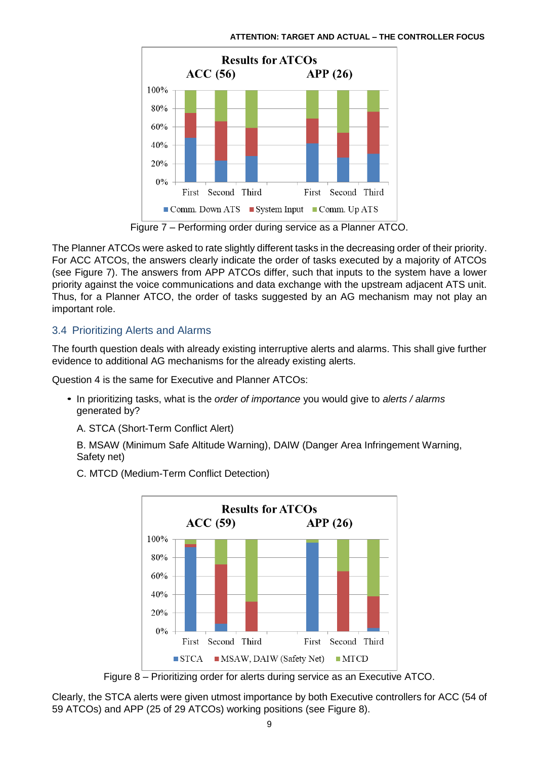

Figure 7 – Performing order during service as a Planner ATCO.

<span id="page-8-0"></span>The Planner ATCOs were asked to rate slightly different tasks in the decreasing order of their priority. For ACC ATCOs, the answers clearly indicate the order of tasks executed by a majority of ATCOs (see [Figure 7\)](#page-8-0). The answers from APP ATCOs differ, such that inputs to the system have a lower priority against the voice communications and data exchange with the upstream adjacent ATS unit. Thus, for a Planner ATCO, the order of tasks suggested by an AG mechanism may not play an important role.

## 3.4 Prioritizing Alerts and Alarms

The fourth question deals with already existing interruptive alerts and alarms. This shall give further evidence to additional AG mechanisms for the already existing alerts.

Question 4 is the same for Executive and Planner ATCOs:

- In prioritizing tasks, what is the *order of importance* you would give to *alerts / alarms* generated by?
	- A. STCA (Short-Term Conflict Alert)

B. MSAW (Minimum Safe Altitude Warning), DAIW (Danger Area Infringement Warning, Safety net)

C. MTCD (Medium-Term Conflict Detection)



Figure 8 – Prioritizing order for alerts during service as an Executive ATCO.

<span id="page-8-1"></span>Clearly, the STCA alerts were given utmost importance by both Executive controllers for ACC (54 of 59 ATCOs) and APP (25 of 29 ATCOs) working positions (see [Figure 8\)](#page-8-1).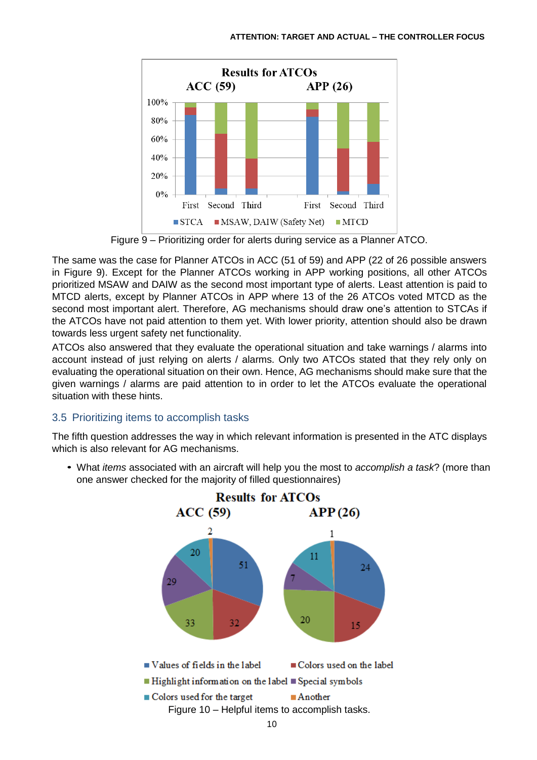

Figure 9 – Prioritizing order for alerts during service as a Planner ATCO.

<span id="page-9-0"></span>The same was the case for Planner ATCOs in ACC (51 of 59) and APP (22 of 26 possible answers in [Figure 9\)](#page-9-0). Except for the Planner ATCOs working in APP working positions, all other ATCOs prioritized MSAW and DAIW as the second most important type of alerts. Least attention is paid to MTCD alerts, except by Planner ATCOs in APP where 13 of the 26 ATCOs voted MTCD as the second most important alert. Therefore, AG mechanisms should draw one's attention to STCAs if the ATCOs have not paid attention to them yet. With lower priority, attention should also be drawn towards less urgent safety net functionality.

ATCOs also answered that they evaluate the operational situation and take warnings / alarms into account instead of just relying on alerts / alarms. Only two ATCOs stated that they rely only on evaluating the operational situation on their own. Hence, AG mechanisms should make sure that the given warnings / alarms are paid attention to in order to let the ATCOs evaluate the operational situation with these hints.

## 3.5 Prioritizing items to accomplish tasks

The fifth question addresses the way in which relevant information is presented in the ATC displays which is also relevant for AG mechanisms.

What *items* associated with an aircraft will help you the most to *accomplish a task*? (more than *•*one answer checked for the majority of filled questionnaires)

<span id="page-9-1"></span>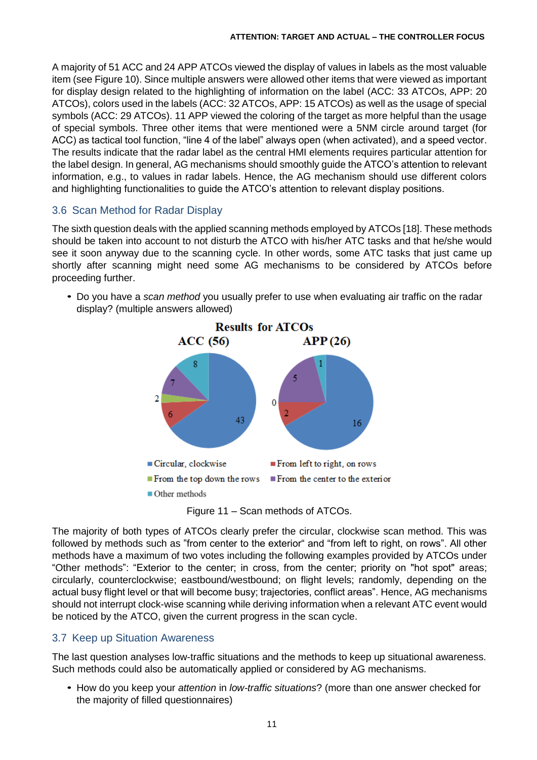A majority of 51 ACC and 24 APP ATCOs viewed the display of values in labels as the most valuable item (see [Figure 10\)](#page-9-1). Since multiple answers were allowed other items that were viewed as important for display design related to the highlighting of information on the label (ACC: 33 ATCOs, APP: 20 ATCOs), colors used in the labels (ACC: 32 ATCOs, APP: 15 ATCOs) as well as the usage of special symbols (ACC: 29 ATCOs). 11 APP viewed the coloring of the target as more helpful than the usage of special symbols. Three other items that were mentioned were a 5NM circle around target (for ACC) as tactical tool function, "line 4 of the label" always open (when activated), and a speed vector. The results indicate that the radar label as the central HMI elements requires particular attention for the label design. In general, AG mechanisms should smoothly guide the ATCO's attention to relevant information, e.g., to values in radar labels. Hence, the AG mechanism should use different colors and highlighting functionalities to guide the ATCO's attention to relevant display positions.

### 3.6 Scan Method for Radar Display

The sixth question deals with the applied scanning methods employed by ATCOs [\[18\].](#page-14-17) These methods should be taken into account to not disturb the ATCO with his/her ATC tasks and that he/she would see it soon anyway due to the scanning cycle. In other words, some ATC tasks that just came up shortly after scanning might need some AG mechanisms to be considered by ATCOs before proceeding further.

• Do you have a scan method you usually prefer to use when evaluating air traffic on the radar display? (multiple answers allowed)



Figure 11 – Scan methods of ATCOs.

The majority of both types of ATCOs clearly prefer the circular, clockwise scan method. This was followed by methods such as "from center to the exterior" and "from left to right, on rows". All other methods have a maximum of two votes including the following examples provided by ATCOs under "Other methods": "Exterior to the center; in cross, from the center; priority on "hot spot" areas; circularly, counterclockwise; eastbound/westbound; on flight levels; randomly, depending on the actual busy flight level or that will become busy; trajectories, conflict areas". Hence, AG mechanisms should not interrupt clock-wise scanning while deriving information when a relevant ATC event would be noticed by the ATCO, given the current progress in the scan cycle.

## 3.7 Keep up Situation Awareness

The last question analyses low-traffic situations and the methods to keep up situational awareness. Such methods could also be automatically applied or considered by AG mechanisms.

• How do you keep your attention in low-traffic situations? (more than one answer checked for the majority of filled questionnaires)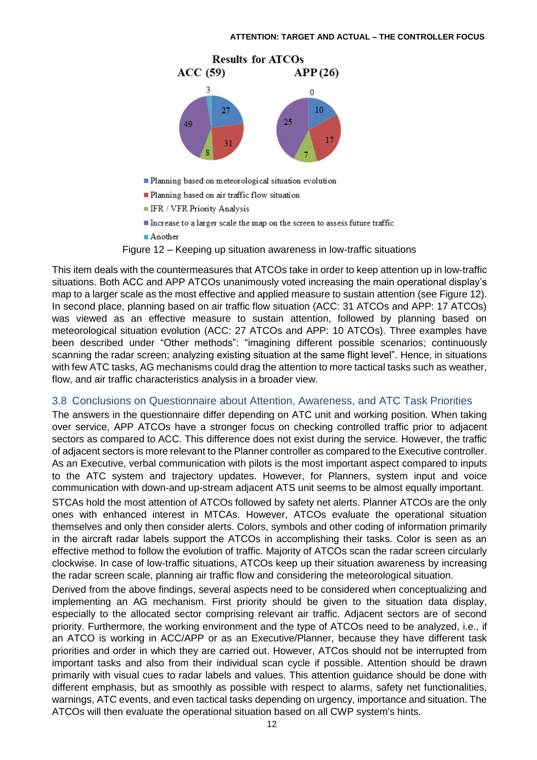

- Planning based on meteorological situation evolution
- Planning based on air traffic flow situation
- **IFR / VFR Priority Analysis**
- Increase to a larger scale the map on the screen to assess future traffic

 $A$ nother

Figure 12 – Keeping up situation awareness in low-traffic situations

<span id="page-11-0"></span>This item deals with the countermeasures that ATCOs take in order to keep attention up in low-traffic situations. Both ACC and APP ATCOs unanimously voted increasing the main operational display's map to a larger scale as the most effective and applied measure to sustain attention (see [Figure 12\)](#page-11-0). In second place, planning based on air traffic flow situation (ACC: 31 ATCOs and APP: 17 ATCOs) was viewed as an effective measure to sustain attention, followed by planning based on meteorological situation evolution (ACC: 27 ATCOs and APP: 10 ATCOs). Three examples have been described under "Other methods": "imagining different possible scenarios; continuously scanning the radar screen; analyzing existing situation at the same flight level". Hence, in situations with few ATC tasks, AG mechanisms could drag the attention to more tactical tasks such as weather, flow, and air traffic characteristics analysis in a broader view.

## 3.8 Conclusions on Questionnaire about Attention, Awareness, and ATC Task Priorities

The answers in the questionnaire differ depending on ATC unit and working position. When taking over service, APP ATCOs have a stronger focus on checking controlled traffic prior to adjacent sectors as compared to ACC. This difference does not exist during the service. However, the traffic of adjacent sectors is more relevant to the Planner controller as compared to the Executive controller. As an Executive, verbal communication with pilots is the most important aspect compared to inputs to the ATC system and trajectory updates. However, for Planners, system input and voice communication with down-and up-stream adjacent ATS unit seems to be almost equally important. STCAs hold the most attention of ATCOs followed by safety net alerts. Planner ATCOs are the only ones with enhanced interest in MTCAs. However, ATCOs evaluate the operational situation themselves and only then consider alerts. Colors, symbols and other coding of information primarily in the aircraft radar labels support the ATCOs in accomplishing their tasks. Color is seen as an

effective method to follow the evolution of traffic. Majority of ATCOs scan the radar screen circularly clockwise. In case of low-traffic situations, ATCOs keep up their situation awareness by increasing the radar screen scale, planning air traffic flow and considering the meteorological situation.

Derived from the above findings, several aspects need to be considered when conceptualizing and implementing an AG mechanism. First priority should be given to the situation data display, especially to the allocated sector comprising relevant air traffic. Adjacent sectors are of second priority. Furthermore, the working environment and the type of ATCOs need to be analyzed, i.e., if an ATCO is working in ACC/APP or as an Executive/Planner, because they have different task priorities and order in which they are carried out. However, ATCos should not be interrupted from important tasks and also from their individual scan cycle if possible. Attention should be drawn primarily with visual cues to radar labels and values. This attention guidance should be done with different emphasis, but as smoothly as possible with respect to alarms, safety net functionalities, warnings, ATC events, and even tactical tasks depending on urgency, importance and situation. The ATCOs will then evaluate the operational situation based on all CWP system's hints.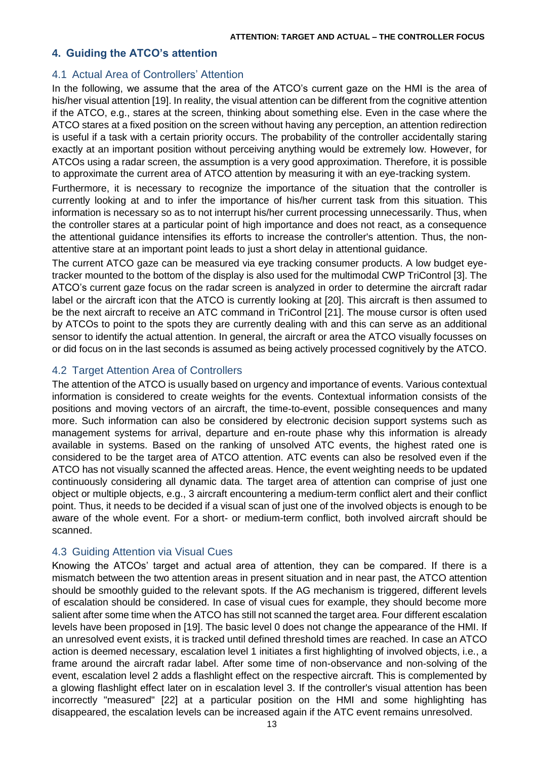## <span id="page-12-0"></span>**4. Guiding the ATCO's attention**

### 4.1 Actual Area of Controllers' Attention

In the following, we assume that the area of the ATCO's current gaze on the HMI is the area of his/her visual attentio[n \[19\].](#page-14-18) In reality, the visual attention can be different from the cognitive attention if the ATCO, e.g., stares at the screen, thinking about something else. Even in the case where the ATCO stares at a fixed position on the screen without having any perception, an attention redirection is useful if a task with a certain priority occurs. The probability of the controller accidentally staring exactly at an important position without perceiving anything would be extremely low. However, for ATCOs using a radar screen, the assumption is a very good approximation. Therefore, it is possible to approximate the current area of ATCO attention by measuring it with an eye-tracking system.

Furthermore, it is necessary to recognize the importance of the situation that the controller is currently looking at and to infer the importance of his/her current task from this situation. This information is necessary so as to not interrupt his/her current processing unnecessarily. Thus, when the controller stares at a particular point of high importance and does not react, as a consequence the attentional guidance intensifies its efforts to increase the controller's attention. Thus, the nonattentive stare at an important point leads to just a short delay in attentional guidance.

The current ATCO gaze can be measured via eye tracking consumer products. A low budget eyetracker mounted to the bottom of the display is also used for the multimodal CWP TriControl [\[3\].](#page-14-2) The ATCO's current gaze focus on the radar screen is analyzed in order to determine the aircraft radar label or the aircraft icon that the ATCO is currently looking at [\[20\].](#page-14-19) This aircraft is then assumed to be the next aircraft to receive an ATC command in TriControl [\[21\].](#page-15-0) The mouse cursor is often used by ATCOs to point to the spots they are currently dealing with and this can serve as an additional sensor to identify the actual attention. In general, the aircraft or area the ATCO visually focusses on or did focus on in the last seconds is assumed as being actively processed cognitively by the ATCO.

### 4.2 Target Attention Area of Controllers

The attention of the ATCO is usually based on urgency and importance of events. Various contextual information is considered to create weights for the events. Contextual information consists of the positions and moving vectors of an aircraft, the time-to-event, possible consequences and many more. Such information can also be considered by electronic decision support systems such as management systems for arrival, departure and en-route phase why this information is already available in systems. Based on the ranking of unsolved ATC events, the highest rated one is considered to be the target area of ATCO attention. ATC events can also be resolved even if the ATCO has not visually scanned the affected areas. Hence, the event weighting needs to be updated continuously considering all dynamic data. The target area of attention can comprise of just one object or multiple objects, e.g., 3 aircraft encountering a medium-term conflict alert and their conflict point. Thus, it needs to be decided if a visual scan of just one of the involved objects is enough to be aware of the whole event. For a short- or medium-term conflict, both involved aircraft should be scanned.

## 4.3 Guiding Attention via Visual Cues

Knowing the ATCOs' target and actual area of attention, they can be compared. If there is a mismatch between the two attention areas in present situation and in near past, the ATCO attention should be smoothly guided to the relevant spots. If the AG mechanism is triggered, different levels of escalation should be considered. In case of visual cues for example, they should become more salient after some time when the ATCO has still not scanned the target area. Four different escalation levels have been proposed in [\[19\].](#page-14-18) The basic level 0 does not change the appearance of the HMI. If an unresolved event exists, it is tracked until defined threshold times are reached. In case an ATCO action is deemed necessary, escalation level 1 initiates a first highlighting of involved objects, i.e., a frame around the aircraft radar label. After some time of non-observance and non-solving of the event, escalation level 2 adds a flashlight effect on the respective aircraft. This is complemented by a glowing flashlight effect later on in escalation level 3. If the controller's visual attention has been incorrectly "measured" [\[22\]](#page-15-1) at a particular position on the HMI and some highlighting has disappeared, the escalation levels can be increased again if the ATC event remains unresolved.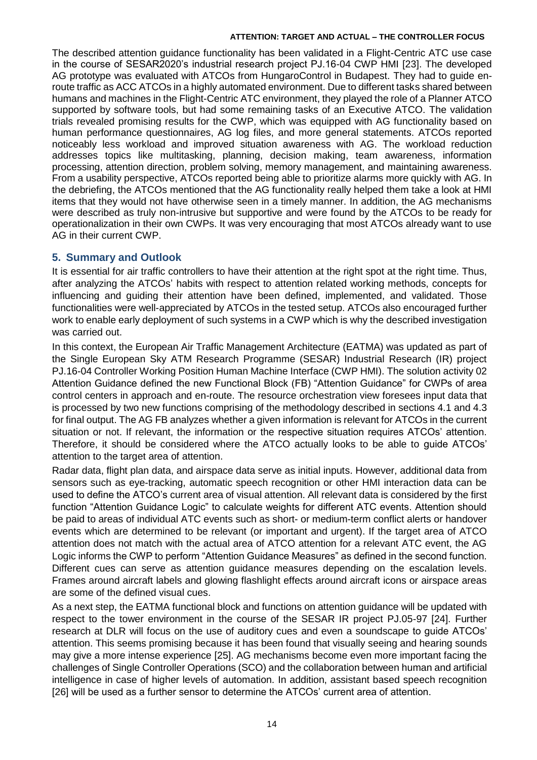The described attention guidance functionality has been validated in a Flight-Centric ATC use case in the course of SESAR2020's industrial research project PJ.16-04 CWP HMI [\[23\].](#page-15-2) The developed AG prototype was evaluated with ATCOs from HungaroControl in Budapest. They had to guide enroute traffic as ACC ATCOs in a highly automated environment. Due to different tasks shared between humans and machines in the Flight-Centric ATC environment, they played the role of a Planner ATCO supported by software tools, but had some remaining tasks of an Executive ATCO. The validation trials revealed promising results for the CWP, which was equipped with AG functionality based on human performance questionnaires, AG log files, and more general statements. ATCOs reported noticeably less workload and improved situation awareness with AG. The workload reduction addresses topics like multitasking, planning, decision making, team awareness, information processing, attention direction, problem solving, memory management, and maintaining awareness. From a usability perspective, ATCOs reported being able to prioritize alarms more quickly with AG. In the debriefing, the ATCOs mentioned that the AG functionality really helped them take a look at HMI items that they would not have otherwise seen in a timely manner. In addition, the AG mechanisms were described as truly non-intrusive but supportive and were found by the ATCOs to be ready for operationalization in their own CWPs. It was very encouraging that most ATCOs already want to use AG in their current CWP.

## <span id="page-13-0"></span>**5. Summary and Outlook**

It is essential for air traffic controllers to have their attention at the right spot at the right time. Thus, after analyzing the ATCOs' habits with respect to attention related working methods, concepts for influencing and guiding their attention have been defined, implemented, and validated. Those functionalities were well-appreciated by ATCOs in the tested setup. ATCOs also encouraged further work to enable early deployment of such systems in a CWP which is why the described investigation was carried out.

In this context, the European Air Traffic Management Architecture (EATMA) was updated as part of the Single European Sky ATM Research Programme (SESAR) Industrial Research (IR) project PJ.16-04 Controller Working Position Human Machine Interface (CWP HMI). The solution activity 02 Attention Guidance defined the new Functional Block (FB) "Attention Guidance" for CWPs of area control centers in approach and en-route. The resource orchestration view foresees input data that is processed by two new functions comprising of the methodology described in sections 4.1 and 4.3 for final output. The AG FB analyzes whether a given information is relevant for ATCOs in the current situation or not. If relevant, the information or the respective situation requires ATCOs' attention. Therefore, it should be considered where the ATCO actually looks to be able to guide ATCOs' attention to the target area of attention.

Radar data, flight plan data, and airspace data serve as initial inputs. However, additional data from sensors such as eye-tracking, automatic speech recognition or other HMI interaction data can be used to define the ATCO's current area of visual attention. All relevant data is considered by the first function "Attention Guidance Logic" to calculate weights for different ATC events. Attention should be paid to areas of individual ATC events such as short- or medium-term conflict alerts or handover events which are determined to be relevant (or important and urgent). If the target area of ATCO attention does not match with the actual area of ATCO attention for a relevant ATC event, the AG Logic informs the CWP to perform "Attention Guidance Measures" as defined in the second function. Different cues can serve as attention guidance measures depending on the escalation levels. Frames around aircraft labels and glowing flashlight effects around aircraft icons or airspace areas are some of the defined visual cues.

As a next step, the EATMA functional block and functions on attention guidance will be updated with respect to the tower environment in the course of the SESAR IR project PJ.05-97 [\[24\].](#page-15-3) Further research at DLR will focus on the use of auditory cues and even a soundscape to guide ATCOs' attention. This seems promising because it has been found that visually seeing and hearing sounds may give a more intense experience [\[25\].](#page-15-4) AG mechanisms become even more important facing the challenges of Single Controller Operations (SCO) and the collaboration between human and artificial intelligence in case of higher levels of automation. In addition, assistant based speech recognition [\[26\]](#page-15-5) will be used as a further sensor to determine the ATCOs' current area of attention.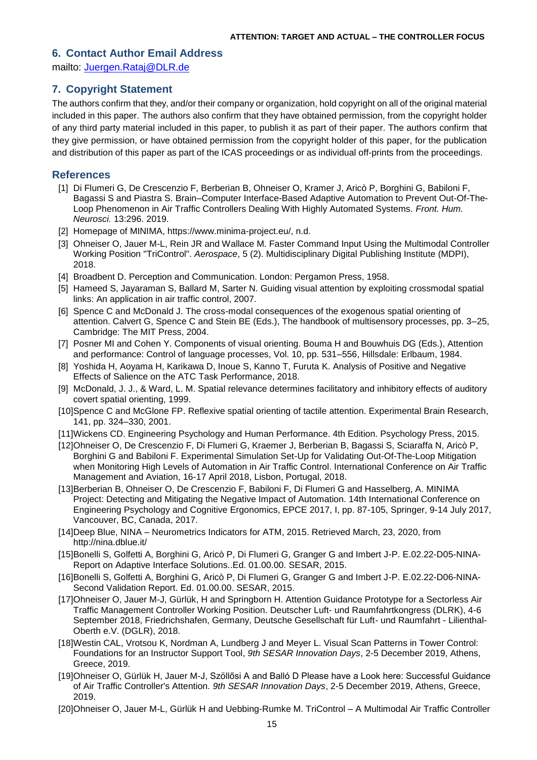### **6. Contact Author Email Address**

mailto: [Juergen.Rataj@DLR.de](mailto:Juergen.Rataj@DLR.de)

### **7. Copyright Statement**

The authors confirm that they, and/or their company or organization, hold copyright on all of the original material included in this paper. The authors also confirm that they have obtained permission, from the copyright holder of any third party material included in this paper, to publish it as part of their paper. The authors confirm that they give permission, or have obtained permission from the copyright holder of this paper, for the publication and distribution of this paper as part of the ICAS proceedings or as individual off-prints from the proceedings.

### **References**

- <span id="page-14-0"></span>[1] Di Flumeri G, De Crescenzio F, Berberian B, Ohneiser O, Kramer J, Aricò P, Borghini G, Babiloni F, Bagassi S and Piastra S. Brain–Computer Interface-Based Adaptive Automation to Prevent Out-Of-The-Loop Phenomenon in Air Traffic Controllers Dealing With Highly Automated Systems. *Front. Hum. Neurosci.* 13:296. 2019.
- <span id="page-14-1"></span>[2] Homepage of MINIMA, [https://www.minima-project.eu/,](https://www.minima-project.eu/) n.d.
- <span id="page-14-2"></span>[3] Ohneiser O, Jauer M-L, Rein JR and Wallace M. Faster Command Input Using the Multimodal Controller Working Position "TriControl". *Aerospace*, 5 (2). Multidisciplinary Digital Publishing Institute (MDPI), 2018.
- <span id="page-14-3"></span>[4] Broadbent D. Perception and Communication. London: Pergamon Press, 1958.
- <span id="page-14-4"></span>[5] Hameed S, Jayaraman S, Ballard M, Sarter N. Guiding visual attention by exploiting crossmodal spatial links: An application in air traffic control, 2007.
- <span id="page-14-5"></span>[6] Spence C and McDonald J. The cross-modal consequences of the exogenous spatial orienting of attention. Calvert G, Spence C and Stein BE (Eds.), The handbook of multisensory processes, pp. 3–25, Cambridge: The MIT Press, 2004.
- <span id="page-14-6"></span>[7] Posner MI and Cohen Y. Components of visual orienting. Bouma H and Bouwhuis DG (Eds.), Attention and performance: Control of language processes, Vol. 10, pp. 531–556, Hillsdale: Erlbaum, 1984.
- <span id="page-14-7"></span>[8] Yoshida H, Aoyama H, Karikawa D, Inoue S, Kanno T, Furuta K. Analysis of Positive and Negative Effects of Salience on the ATC Task Performance, 2018.
- <span id="page-14-8"></span>[9] McDonald, J. J., & Ward, L. M. Spatial relevance determines facilitatory and inhibitory effects of auditory covert spatial orienting, 1999.
- <span id="page-14-9"></span>[10]Spence C and McGlone FP. Reflexive spatial orienting of tactile attention. Experimental Brain Research, 141, pp. 324–330, 2001.
- <span id="page-14-10"></span>[11]Wickens CD. Engineering Psychology and Human Performance. 4th Edition. Psychology Press, 2015.
- <span id="page-14-11"></span>[12]Ohneiser O, De Crescenzio F, Di Flumeri G, Kraemer J, Berberian B, Bagassi S, Sciaraffa N, Aricò P, Borghini G and Babiloni F. Experimental Simulation Set-Up for Validating Out-Of-The-Loop Mitigation when Monitoring High Levels of Automation in Air Traffic Control. International Conference on Air Traffic Management and Aviation, 16-17 April 2018, Lisbon, Portugal, 2018.
- <span id="page-14-12"></span>[13]Berberian B, Ohneiser O, De Crescenzio F, Babiloni F, Di Flumeri G and Hasselberg, A. MINIMA Project: Detecting and Mitigating the Negative Impact of Automation. 14th International Conference on Engineering Psychology and Cognitive Ergonomics, EPCE 2017, I, pp. 87-105, Springer, 9-14 July 2017, Vancouver, BC, Canada, 2017.
- <span id="page-14-13"></span>[14]Deep Blue, NINA – Neurometrics Indicators for ATM, 2015. Retrieved March, 23, 2020, from http://nina.dblue.it/
- <span id="page-14-14"></span>[15]Bonelli S, Golfetti A, Borghini G, Aricò P, Di Flumeri G, Granger G and Imbert J-P. E.02.22-D05-NINA-Report on Adaptive Interface Solutions..Ed. 01.00.00. SESAR, 2015.
- <span id="page-14-15"></span>[16]Bonelli S, Golfetti A, Borghini G, Aricò P, Di Flumeri G, Granger G and Imbert J-P. E.02.22-D06-NINA-Second Validation Report. Ed. 01.00.00. SESAR, 2015.
- <span id="page-14-16"></span>[17]Ohneiser O, Jauer M-J, Gürlük, H and Springborn H. Attention Guidance Prototype for a Sectorless Air Traffic Management Controller Working Position. Deutscher Luft- und Raumfahrtkongress (DLRK), 4-6 September 2018, Friedrichshafen, Germany, Deutsche Gesellschaft für Luft- und Raumfahrt - Lilienthal-Oberth e.V. (DGLR), 2018.
- <span id="page-14-17"></span>[18]Westin CAL, Vrotsou K, Nordman A, Lundberg J and Meyer L. Visual Scan Patterns in Tower Control: Foundations for an Instructor Support Tool, *9th SESAR Innovation Days*, 2-5 December 2019, Athens, Greece, 2019.
- <span id="page-14-18"></span>[19]Ohneiser O, Gürlük H, Jauer M-J, Szöllősi A and Balló D Please have a Look here: Successful Guidance of Air Traffic Controller's Attention. *9th SESAR Innovation Days*, 2-5 December 2019, Athens, Greece, 2019.
- <span id="page-14-19"></span>[20]Ohneiser O, Jauer M-L, Gürlük H and Uebbing-Rumke M. TriControl – A Multimodal Air Traffic Controller